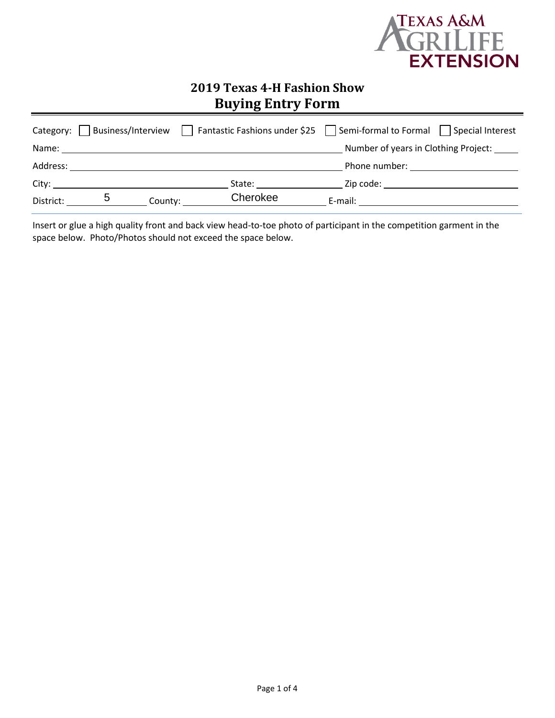

# **2019 Texas 4-H Fashion Show Buying Entry Form**

|           |                                                                                                                                                                                                                                |                                                                                                                                                                                                                                | Category: $\Box$ Business/Interview $\Box$ Fantastic Fashions under \$25 $\Box$ Semi-formal to Formal $\Box$ Special Interest |
|-----------|--------------------------------------------------------------------------------------------------------------------------------------------------------------------------------------------------------------------------------|--------------------------------------------------------------------------------------------------------------------------------------------------------------------------------------------------------------------------------|-------------------------------------------------------------------------------------------------------------------------------|
| Name:     |                                                                                                                                                                                                                                |                                                                                                                                                                                                                                | Number of years in Clothing Project: ______                                                                                   |
|           | Address: Analysis and the set of the set of the set of the set of the set of the set of the set of the set of the set of the set of the set of the set of the set of the set of the set of the set of the set of the set of th |                                                                                                                                                                                                                                |                                                                                                                               |
|           | City:                                                                                                                                                                                                                          | State: the state of the state of the state of the state of the state of the state of the state of the state of the state of the state of the state of the state of the state of the state of the state of the state of the sta | Zip code: will be a series of the series of the series of the series of the series of the series of the series                |
| District: | .ხ                                                                                                                                                                                                                             | Cherokee<br>County:                                                                                                                                                                                                            | E-mail: E-mail:                                                                                                               |

Insert or glue a high quality front and back view head-to-toe photo of participant in the competition garment in the space below. Photo/Photos should not exceed the space below.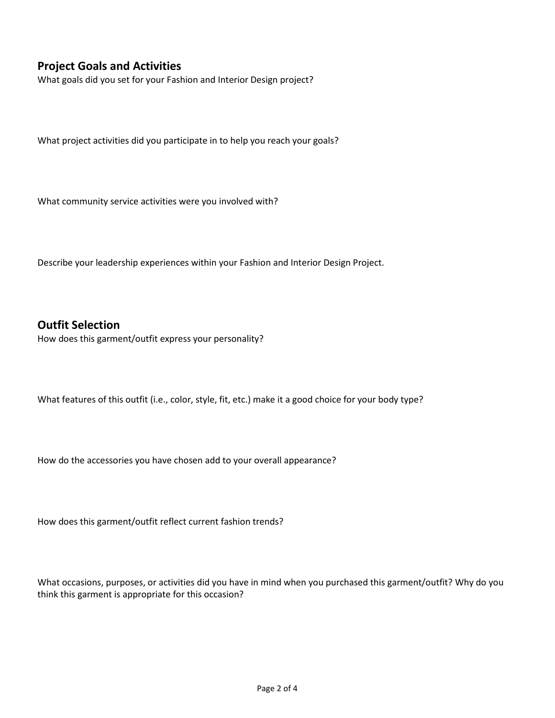## **Project Goals and Activities**

What goals did you set for your Fashion and Interior Design project?

What project activities did you participate in to help you reach your goals?

What community service activities were you involved with?

Describe your leadership experiences within your Fashion and Interior Design Project.

#### **Outfit Selection**

How does this garment/outfit express your personality?

What features of this outfit (i.e., color, style, fit, etc.) make it a good choice for your body type?

How do the accessories you have chosen add to your overall appearance?

How does this garment/outfit reflect current fashion trends?

What occasions, purposes, or activities did you have in mind when you purchased this garment/outfit? Why do you think this garment is appropriate for this occasion?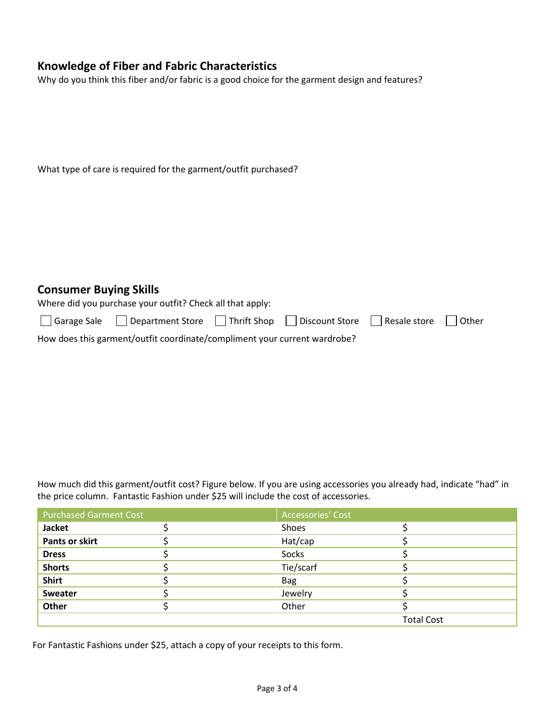## **Knowledge of Fiber and Fabric Characteristics**

Why do you think this fiber and/or fabric is a good choice for the garment design and features?

| What type of care is required for the garment/outfit purchased? |  |  |  |
|-----------------------------------------------------------------|--|--|--|
|-----------------------------------------------------------------|--|--|--|

#### **Consumer Buying Skills**

|  |  |  |  |  | Where did you purchase your outfit? Check all that apply: |
|--|--|--|--|--|-----------------------------------------------------------|
|--|--|--|--|--|-----------------------------------------------------------|

|                                                                           | □ Garage Sale □ Department Store □ Thrift Shop □ Discount Store □ Resale store □ Other |  |  |  |  |  |
|---------------------------------------------------------------------------|----------------------------------------------------------------------------------------|--|--|--|--|--|
| How does this garment/outfit coordinate/compliment your current wardrobe? |                                                                                        |  |  |  |  |  |

How much did this garment/outfit cost? Figure below. If you are using accessories you already had, indicate "had" in the price column. Fantastic Fashion under \$25 will include the cost of accessories.

| <b>Purchased Garment Cost</b> | Accessories' Cost |                   |
|-------------------------------|-------------------|-------------------|
| <b>Jacket</b>                 | Shoes             |                   |
| <b>Pants or skirt</b>         | Hat/cap           |                   |
| <b>Dress</b>                  | Socks             |                   |
| <b>Shorts</b>                 | Tie/scarf         |                   |
| <b>Shirt</b>                  | <b>Bag</b>        |                   |
| Sweater                       | Jewelry           |                   |
| Other                         | Other             |                   |
|                               |                   | <b>Total Cost</b> |

For Fantastic Fashions under \$25, attach a copy of your receipts to this form.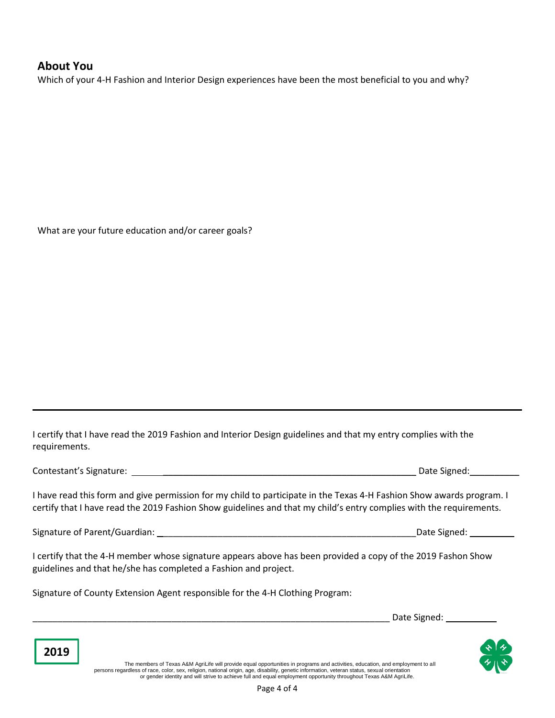### **About You**

Which of your 4-H Fashion and Interior Design experiences have been the most beneficial to you and why?

What are your future education and/or career goals?

I certify that I have read the 2019 Fashion and Interior Design guidelines and that my entry complies with the requirements.

Contestant's Signature: \_\_\_\_\_\_\_\_\_\_\_\_\_\_\_\_\_\_\_\_\_\_\_\_\_\_\_\_\_\_\_\_\_\_\_\_\_\_\_\_\_\_\_\_\_\_\_\_\_\_\_ Date Signed:\_\_\_\_\_\_\_\_\_\_

**2019**

I have read this form and give permission for my child to participate in the Texas 4-H Fashion Show awards program. I certify that I have read the 2019 Fashion Show guidelines and that my child's entry complies with the requirements.

Signature of Parent/Guardian: \_\_\_\_\_\_\_\_\_\_\_\_\_\_\_\_\_\_\_\_\_\_\_\_\_\_\_\_\_\_\_\_\_\_\_\_\_\_\_\_\_\_\_\_\_\_\_\_\_\_\_Date Signed: \_\_\_\_\_\_\_\_\_

I certify that the 4-H member whose signature appears above has been provided a copy of the 2019 Fashon Show guidelines and that he/she has completed a Fashion and project.

Signature of County Extension Agent responsible for the 4-H Clothing Program:

Date Signed:



The members of Texas A&M AgriLife will provide equal opportunities in programs and activities, education, and employment to all<br>persons regardless of race, color, sex, religion, national origin, age, disability, genetic in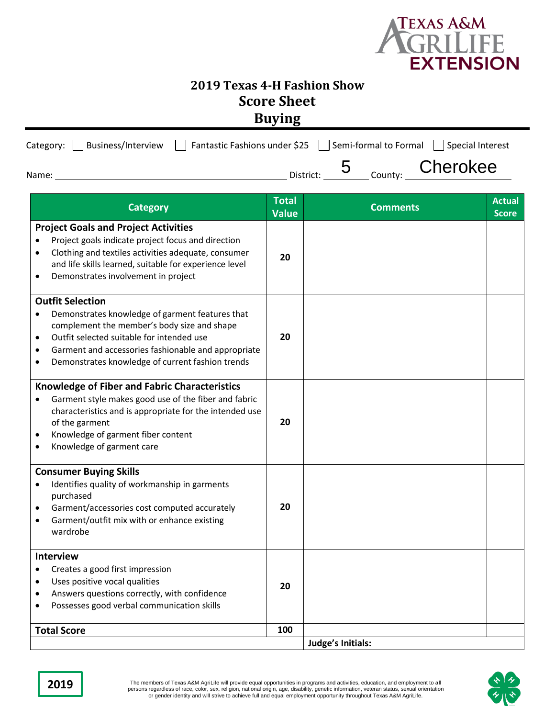

## **2019 Texas 4-H Fashion Show Score Sheet Buying**

| Category: $\Box$ Business/Interview $\Box$ Fantastic Fashions under \$25 $\Box$ Semi-formal to Formal $\Box$ Special Interest |                       |                  |                                     |
|-------------------------------------------------------------------------------------------------------------------------------|-----------------------|------------------|-------------------------------------|
| Name:                                                                                                                         | District:             | County: Cherokee |                                     |
| <b>Category</b>                                                                                                               | <b>Total</b><br>Value | <b>Comments</b>  | <b>Actual</b><br>Score <sup>1</sup> |

| Calegui y                                                                                                                                                                                                                                                                                                                | Value | COMMENTS          | <b>Score</b> |
|--------------------------------------------------------------------------------------------------------------------------------------------------------------------------------------------------------------------------------------------------------------------------------------------------------------------------|-------|-------------------|--------------|
| <b>Project Goals and Project Activities</b><br>Project goals indicate project focus and direction<br>Clothing and textiles activities adequate, consumer<br>$\bullet$<br>and life skills learned, suitable for experience level<br>Demonstrates involvement in project<br>$\bullet$                                      | 20    |                   |              |
| <b>Outfit Selection</b><br>Demonstrates knowledge of garment features that<br>$\bullet$<br>complement the member's body size and shape<br>Outfit selected suitable for intended use<br>$\bullet$<br>Garment and accessories fashionable and appropriate<br>$\bullet$<br>Demonstrates knowledge of current fashion trends | 20    |                   |              |
| <b>Knowledge of Fiber and Fabric Characteristics</b><br>Garment style makes good use of the fiber and fabric<br>$\bullet$<br>characteristics and is appropriate for the intended use<br>of the garment<br>Knowledge of garment fiber content<br>$\bullet$<br>Knowledge of garment care<br>$\bullet$                      | 20    |                   |              |
| <b>Consumer Buying Skills</b><br>Identifies quality of workmanship in garments<br>purchased<br>Garment/accessories cost computed accurately<br>Garment/outfit mix with or enhance existing<br>wardrobe                                                                                                                   | 20    |                   |              |
| <b>Interview</b><br>Creates a good first impression<br>$\bullet$<br>Uses positive vocal qualities<br>$\bullet$<br>Answers questions correctly, with confidence<br>$\bullet$<br>Possesses good verbal communication skills                                                                                                | 20    |                   |              |
| <b>Total Score</b>                                                                                                                                                                                                                                                                                                       | 100   |                   |              |
|                                                                                                                                                                                                                                                                                                                          |       | Judge's Initials: |              |